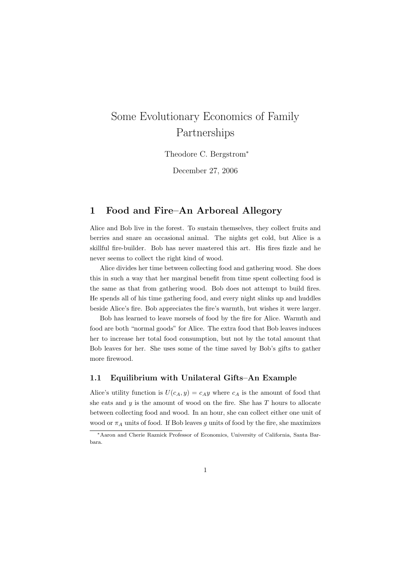# Some Evolutionary Economics of Family Partnerships

Theodore C. Bergstrom<sup>∗</sup>

December 27, 2006

## 1 Food and Fire–An Arboreal Allegory

Alice and Bob live in the forest. To sustain themselves, they collect fruits and berries and snare an occasional animal. The nights get cold, but Alice is a skillful fire-builder. Bob has never mastered this art. His fires fizzle and he never seems to collect the right kind of wood.

Alice divides her time between collecting food and gathering wood. She does this in such a way that her marginal benefit from time spent collecting food is the same as that from gathering wood. Bob does not attempt to build fires. He spends all of his time gathering food, and every night slinks up and huddles beside Alice's fire. Bob appreciates the fire's warmth, but wishes it were larger.

Bob has learned to leave morsels of food by the fire for Alice. Warmth and food are both "normal goods" for Alice. The extra food that Bob leaves induces her to increase her total food consumption, but not by the total amount that Bob leaves for her. She uses some of the time saved by Bob's gifts to gather more firewood.

#### 1.1 Equilibrium with Unilateral Gifts–An Example

Alice's utility function is  $U(c_A, y) = c_A y$  where  $c_A$  is the amount of food that she eats and  $y$  is the amount of wood on the fire. She has  $T$  hours to allocate between collecting food and wood. In an hour, she can collect either one unit of wood or  $\pi_A$  units of food. If Bob leaves q units of food by the fire, she maximizes

<sup>∗</sup>Aaron and Cherie Raznick Professor of Economics, University of California, Santa Barbara.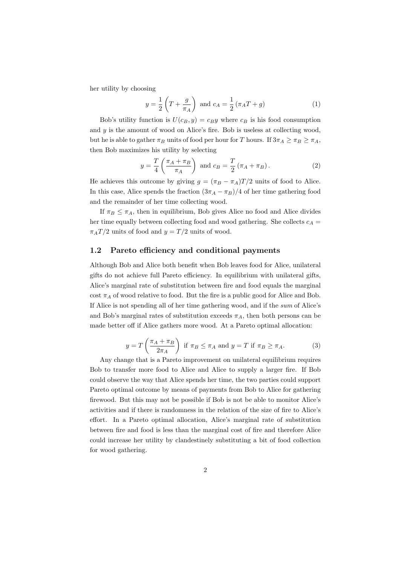her utility by choosing

$$
y = \frac{1}{2} \left( T + \frac{g}{\pi_A} \right) \text{ and } c_A = \frac{1}{2} \left( \pi_A T + g \right) \tag{1}
$$

Bob's utility function is  $U(c_B, y) = c_B y$  where  $c_B$  is his food consumption and  $y$  is the amount of wood on Alice's fire. Bob is useless at collecting wood, but he is able to gather  $\pi_B$  units of food per hour for T hours. If  $3\pi_A \geq \pi_B \geq \pi_A$ , then Bob maximizes his utility by selecting

$$
y = \frac{T}{4} \left( \frac{\pi_A + \pi_B}{\pi_A} \right) \text{ and } c_B = \frac{T}{2} \left( \pi_A + \pi_B \right). \tag{2}
$$

He achieves this outcome by giving  $g = (\pi_B - \pi_A)T/2$  units of food to Alice. In this case, Alice spends the fraction  $(3\pi_A - \pi_B)/4$  of her time gathering food and the remainder of her time collecting wood.

If  $\pi_B \leq \pi_A$ , then in equilibrium, Bob gives Alice no food and Alice divides her time equally between collecting food and wood gathering. She collects  $c_A$  =  $\pi_A T/2$  units of food and  $y = T/2$  units of wood.

#### 1.2 Pareto efficiency and conditional payments

Although Bob and Alice both benefit when Bob leaves food for Alice, unilateral gifts do not achieve full Pareto efficiency. In equilibrium with unilateral gifts, Alice's marginal rate of substitution between fire and food equals the marginal cost  $\pi_A$  of wood relative to food. But the fire is a public good for Alice and Bob. If Alice is not spending all of her time gathering wood, and if the sum of Alice's and Bob's marginal rates of substitution exceeds  $\pi_A$ , then both persons can be made better off if Alice gathers more wood. At a Pareto optimal allocation:

$$
y = T\left(\frac{\pi_A + \pi_B}{2\pi_A}\right) \text{ if } \pi_B \le \pi_A \text{ and } y = T \text{ if } \pi_B \ge \pi_A. \tag{3}
$$

Any change that is a Pareto improvement on unilateral equilibrium requires Bob to transfer more food to Alice and Alice to supply a larger fire. If Bob could observe the way that Alice spends her time, the two parties could support Pareto optimal outcome by means of payments from Bob to Alice for gathering firewood. But this may not be possible if Bob is not be able to monitor Alice's activities and if there is randomness in the relation of the size of fire to Alice's effort. In a Pareto optimal allocation, Alice's marginal rate of substitution between fire and food is less than the marginal cost of fire and therefore Alice could increase her utility by clandestinely substituting a bit of food collection for wood gathering.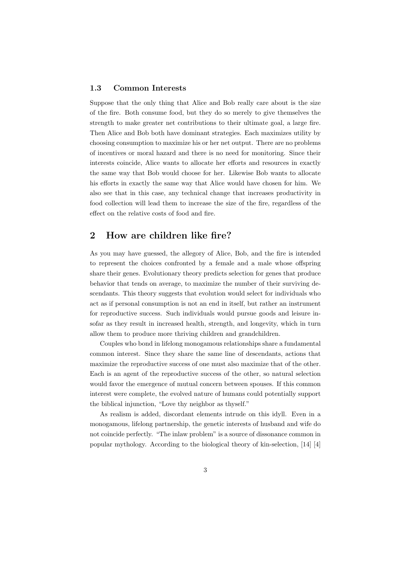#### 1.3 Common Interests

Suppose that the only thing that Alice and Bob really care about is the size of the fire. Both consume food, but they do so merely to give themselves the strength to make greater net contributions to their ultimate goal, a large fire. Then Alice and Bob both have dominant strategies. Each maximizes utility by choosing consumption to maximize his or her net output. There are no problems of incentives or moral hazard and there is no need for monitoring. Since their interests coincide, Alice wants to allocate her efforts and resources in exactly the same way that Bob would choose for her. Likewise Bob wants to allocate his efforts in exactly the same way that Alice would have chosen for him. We also see that in this case, any technical change that increases productivity in food collection will lead them to increase the size of the fire, regardless of the effect on the relative costs of food and fire.

### 2 How are children like fire?

As you may have guessed, the allegory of Alice, Bob, and the fire is intended to represent the choices confronted by a female and a male whose offspring share their genes. Evolutionary theory predicts selection for genes that produce behavior that tends on average, to maximize the number of their surviving descendants. This theory suggests that evolution would select for individuals who act as if personal consumption is not an end in itself, but rather an instrument for reproductive success. Such individuals would pursue goods and leisure insofar as they result in increased health, strength, and longevity, which in turn allow them to produce more thriving children and grandchildren.

Couples who bond in lifelong monogamous relationships share a fundamental common interest. Since they share the same line of descendants, actions that maximize the reproductive success of one must also maximize that of the other. Each is an agent of the reproductive success of the other, so natural selection would favor the emergence of mutual concern between spouses. If this common interest were complete, the evolved nature of humans could potentially support the biblical injunction, "Love thy neighbor as thyself."

As realism is added, discordant elements intrude on this idyll. Even in a monogamous, lifelong partnership, the genetic interests of husband and wife do not coincide perfectly. "The inlaw problem" is a source of dissonance common in popular mythology. According to the biological theory of kin-selection, [14] [4]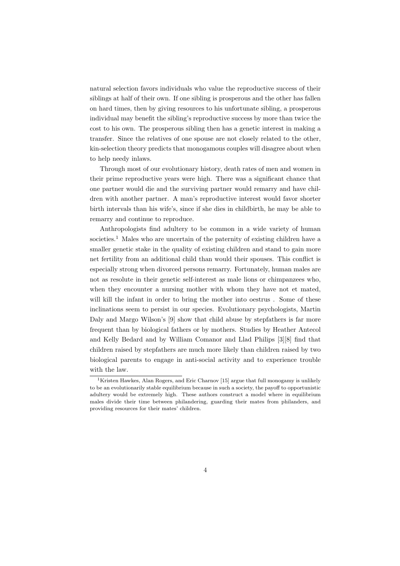natural selection favors individuals who value the reproductive success of their siblings at half of their own. If one sibling is prosperous and the other has fallen on hard times, then by giving resources to his unfortunate sibling, a prosperous individual may benefit the sibling's reproductive success by more than twice the cost to his own. The prosperous sibling then has a genetic interest in making a transfer. Since the relatives of one spouse are not closely related to the other, kin-selection theory predicts that monogamous couples will disagree about when to help needy inlaws.

Through most of our evolutionary history, death rates of men and women in their prime reproductive years were high. There was a significant chance that one partner would die and the surviving partner would remarry and have children with another partner. A man's reproductive interest would favor shorter birth intervals than his wife's, since if she dies in childbirth, he may be able to remarry and continue to reproduce.

Anthropologists find adultery to be common in a wide variety of human societies.<sup>1</sup> Males who are uncertain of the paternity of existing children have a smaller genetic stake in the quality of existing children and stand to gain more net fertility from an additional child than would their spouses. This conflict is especially strong when divorced persons remarry. Fortunately, human males are not as resolute in their genetic self-interest as male lions or chimpanzees who, when they encounter a nursing mother with whom they have not et mated, will kill the infant in order to bring the mother into oestrus. Some of these inclinations seem to persist in our species. Evolutionary psychologists, Martin Daly and Margo Wilson's [9] show that child abuse by stepfathers is far more frequent than by biological fathers or by mothers. Studies by Heather Antecol and Kelly Bedard and by William Comanor and Llad Philips [3][8] find that children raised by stepfathers are much more likely than children raised by two biological parents to engage in anti-social activity and to experience trouble with the law.

<sup>&</sup>lt;sup>1</sup>Kristen Hawkes, Alan Rogers, and Eric Charnov [15] argue that full monogamy is unlikely to be an evolutionarily stable equilibrium because in such a society, the payoff to opportunistic adultery would be extremely high. These authors construct a model where in equilibrium males divide their time between philandering, guarding their mates from philanders, and providing resources for their mates' children.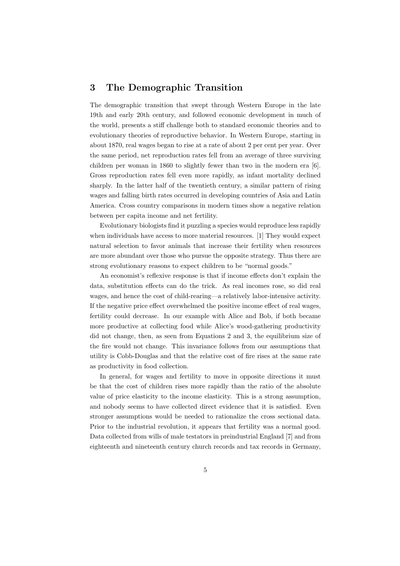## 3 The Demographic Transition

The demographic transition that swept through Western Europe in the late 19th and early 20th century, and followed economic development in much of the world, presents a stiff challenge both to standard economic theories and to evolutionary theories of reproductive behavior. In Western Europe, starting in about 1870, real wages began to rise at a rate of about 2 per cent per year. Over the same period, net reproduction rates fell from an average of three surviving children per woman in 1860 to slightly fewer than two in the modern era [6]. Gross reproduction rates fell even more rapidly, as infant mortality declined sharply. In the latter half of the twentieth century, a similar pattern of rising wages and falling birth rates occurred in developing countries of Asia and Latin America. Cross country comparisons in modern times show a negative relation between per capita income and net fertility.

Evolutionary biologists find it puzzling a species would reproduce less rapidly when individuals have access to more material resources. [1] They would expect natural selection to favor animals that increase their fertility when resources are more abundant over those who pursue the opposite strategy. Thus there are strong evolutionary reasons to expect children to be "normal goods."

An economist's reflexive response is that if income effects don't explain the data, substitution effects can do the trick. As real incomes rose, so did real wages, and hence the cost of child-rearing—a relatively labor-intensive activity. If the negative price effect overwhelmed the positive income effect of real wages, fertility could decrease. In our example with Alice and Bob, if both became more productive at collecting food while Alice's wood-gathering productivity did not change, then, as seen from Equations 2 and 3, the equilibrium size of the fire would not change. This invariance follows from our assumptions that utility is Cobb-Douglas and that the relative cost of fire rises at the same rate as productivity in food collection.

In general, for wages and fertility to move in opposite directions it must be that the cost of children rises more rapidly than the ratio of the absolute value of price elasticity to the income elasticity. This is a strong assumption, and nobody seems to have collected direct evidence that it is satisfied. Even stronger assumptions would be needed to rationalize the cross sectional data. Prior to the industrial revolution, it appears that fertility was a normal good. Data collected from wills of male testators in preindustrial England [7] and from eighteenth and nineteenth century church records and tax records in Germany,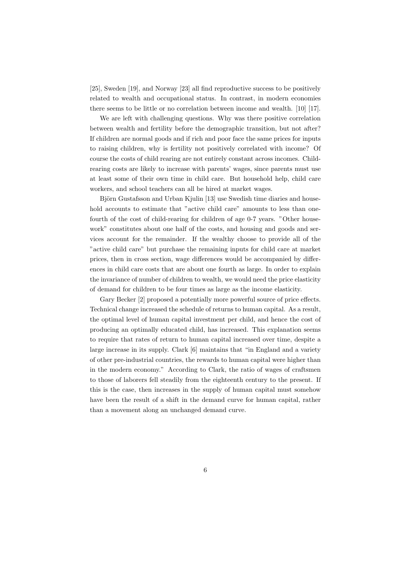[25], Sweden [19], and Norway [23] all find reproductive success to be positively related to wealth and occupational status. In contrast, in modern economies there seems to be little or no correlation between income and wealth. [10] [17].

We are left with challenging questions. Why was there positive correlation between wealth and fertility before the demographic transition, but not after? If children are normal goods and if rich and poor face the same prices for inputs to raising children, why is fertility not positively correlated with income? Of course the costs of child rearing are not entirely constant across incomes. Childrearing costs are likely to increase with parents' wages, since parents must use at least some of their own time in child care. But household help, child care workers, and school teachers can all be hired at market wages.

Björn Gustafsson and Urban Kjulin [13] use Swedish time diaries and household accounts to estimate that "active child care" amounts to less than onefourth of the cost of child-rearing for children of age 0-7 years. "Other housework" constitutes about one half of the costs, and housing and goods and services account for the remainder. If the wealthy choose to provide all of the "active child care" but purchase the remaining inputs for child care at market prices, then in cross section, wage differences would be accompanied by differences in child care costs that are about one fourth as large. In order to explain the invariance of number of children to wealth, we would need the price elasticity of demand for children to be four times as large as the income elasticity.

Gary Becker [2] proposed a potentially more powerful source of price effects. Technical change increased the schedule of returns to human capital. As a result, the optimal level of human capital investment per child, and hence the cost of producing an optimally educated child, has increased. This explanation seems to require that rates of return to human capital increased over time, despite a large increase in its supply. Clark [6] maintains that "in England and a variety of other pre-industrial countries, the rewards to human capital were higher than in the modern economy." According to Clark, the ratio of wages of craftsmen to those of laborers fell steadily from the eighteenth century to the present. If this is the case, then increases in the supply of human capital must somehow have been the result of a shift in the demand curve for human capital, rather than a movement along an unchanged demand curve.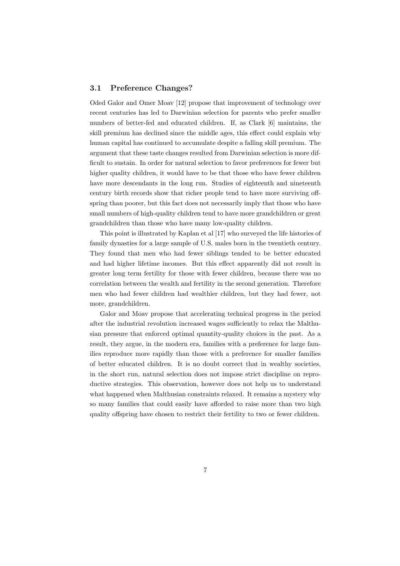#### 3.1 Preference Changes?

Oded Galor and Omer Moav [12] propose that improvement of technology over recent centuries has led to Darwinian selection for parents who prefer smaller numbers of better-fed and educated children. If, as Clark [6] maintains, the skill premium has declined since the middle ages, this effect could explain why human capital has continued to accumulate despite a falling skill premium. The argument that these taste changes resulted from Darwinian selection is more difficult to sustain. In order for natural selection to favor preferences for fewer but higher quality children, it would have to be that those who have fewer children have more descendants in the long run. Studies of eighteenth and nineteenth century birth records show that richer people tend to have more surviving offspring than poorer, but this fact does not necessarily imply that those who have small numbers of high-quality children tend to have more grandchildren or great grandchildren than those who have many low-quality children.

This point is illustrated by Kaplan et al [17] who surveyed the life histories of family dynasties for a large sample of U.S. males born in the twentieth century. They found that men who had fewer siblings tended to be better educated and had higher lifetime incomes. But this effect apparently did not result in greater long term fertility for those with fewer children, because there was no correlation between the wealth and fertility in the second generation. Therefore men who had fewer children had wealthier children, but they had fewer, not more, grandchildren.

Galor and Moav propose that accelerating technical progress in the period after the industrial revolution increased wages sufficiently to relax the Malthusian pressure that enforced optimal quantity-quality choices in the past. As a result, they argue, in the modern era, families with a preference for large families reproduce more rapidly than those with a preference for smaller families of better educated children. It is no doubt correct that in wealthy societies, in the short run, natural selection does not impose strict discipline on reproductive strategies. This observation, however does not help us to understand what happened when Malthusian constraints relaxed. It remains a mystery why so many families that could easily have afforded to raise more than two high quality offspring have chosen to restrict their fertility to two or fewer children.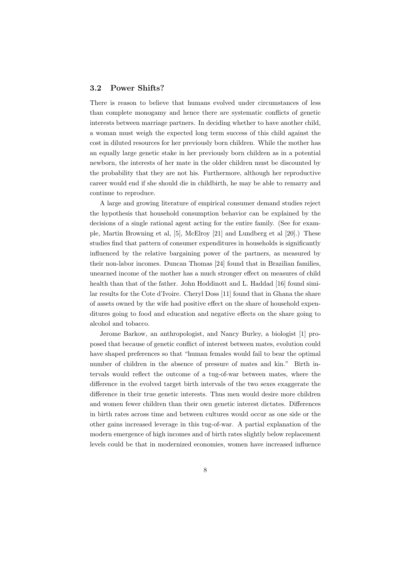#### 3.2 Power Shifts?

There is reason to believe that humans evolved under circumstances of less than complete monogamy and hence there are systematic conflicts of genetic interests between marriage partners. In deciding whether to have another child, a woman must weigh the expected long term success of this child against the cost in diluted resources for her previously born children. While the mother has an equally large genetic stake in her previously born children as in a potential newborn, the interests of her mate in the older children must be discounted by the probability that they are not his. Furthermore, although her reproductive career would end if she should die in childbirth, he may be able to remarry and continue to reproduce.

A large and growing literature of empirical consumer demand studies reject the hypothesis that household consumption behavior can be explained by the decisions of a single rational agent acting for the entire family. (See for example, Martin Browning et al, [5], McElroy [21] and Lundberg et al [20].) These studies find that pattern of consumer expenditures in households is significantly influenced by the relative bargaining power of the partners, as measured by their non-labor incomes. Duncan Thomas [24] found that in Brazilian families, unearned income of the mother has a much stronger effect on measures of child health than that of the father. John Hoddinott and L. Haddad [16] found similar results for the Cote d'Ivoire. Cheryl Doss [11] found that in Ghana the share of assets owned by the wife had positive effect on the share of household expenditures going to food and education and negative effects on the share going to alcohol and tobacco.

Jerome Barkow, an anthropologist, and Nancy Burley, a biologist [1] proposed that because of genetic conflict of interest between mates, evolution could have shaped preferences so that "human females would fail to bear the optimal number of children in the absence of pressure of mates and kin." Birth intervals would reflect the outcome of a tug-of-war between mates, where the difference in the evolved target birth intervals of the two sexes exaggerate the difference in their true genetic interests. Thus men would desire more children and women fewer children than their own genetic interest dictates. Differences in birth rates across time and between cultures would occur as one side or the other gains increased leverage in this tug-of-war. A partial explanation of the modern emergence of high incomes and of birth rates slightly below replacement levels could be that in modernized economies, women have increased influence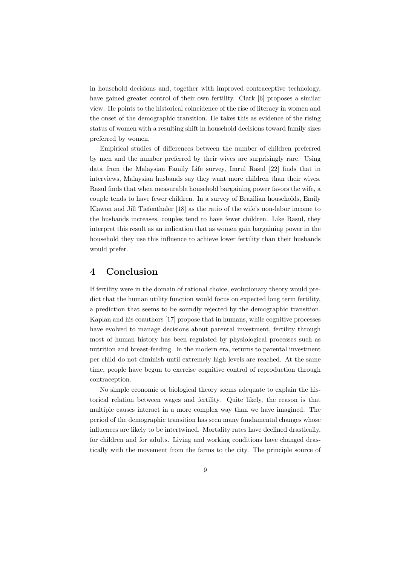in household decisions and, together with improved contraceptive technology, have gained greater control of their own fertility. Clark [6] proposes a similar view. He points to the historical coincidence of the rise of literacy in women and the onset of the demographic transition. He takes this as evidence of the rising status of women with a resulting shift in household decisions toward family sizes preferred by women.

Empirical studies of differences between the number of children preferred by men and the number preferred by their wives are surprisingly rare. Using data from the Malaysian Family Life survey, Imrul Rasul [22] finds that in interviews, Malaysian husbands say they want more children than their wives. Rasul finds that when measurable household bargaining power favors the wife, a couple tends to have fewer children. In a survey of Brazilian households, Emily Klawon and Jill Tiefenthaler [18] as the ratio of the wife's non-labor income to the husbands increases, couples tend to have fewer children. Like Rasul, they interpret this result as an indication that as women gain bargaining power in the household they use this influence to achieve lower fertility than their husbands would prefer.

## 4 Conclusion

If fertility were in the domain of rational choice, evolutionary theory would predict that the human utility function would focus on expected long term fertility, a prediction that seems to be soundly rejected by the demographic transition. Kaplan and his coauthors [17] propose that in humans, while cognitive processes have evolved to manage decisions about parental investment, fertility through most of human history has been regulated by physiological processes such as nutrition and breast-feeding. In the modern era, returns to parental investment per child do not diminish until extremely high levels are reached. At the same time, people have begun to exercise cognitive control of reproduction through contraception.

No simple economic or biological theory seems adequate to explain the historical relation between wages and fertility. Quite likely, the reason is that multiple causes interact in a more complex way than we have imagined. The period of the demographic transition has seen many fundamental changes whose influences are likely to be intertwined. Mortality rates have declined drastically, for children and for adults. Living and working conditions have changed drastically with the movement from the farms to the city. The principle source of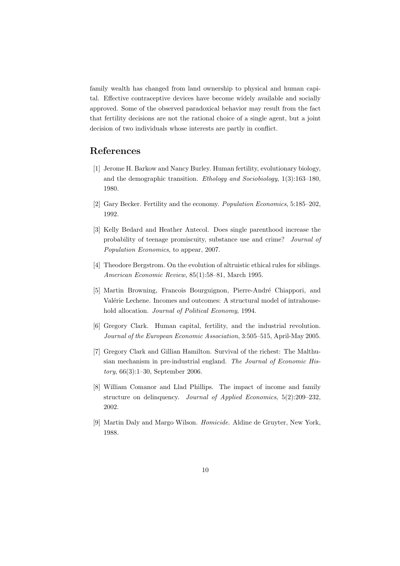family wealth has changed from land ownership to physical and human capital. Effective contraceptive devices have become widely available and socially approved. Some of the observed paradoxical behavior may result from the fact that fertility decisions are not the rational choice of a single agent, but a joint decision of two individuals whose interests are partly in conflict.

## References

- [1] Jerome H. Barkow and Nancy Burley. Human fertility, evolutionary biology, and the demographic transition. Ethology and Sociobiology, 1(3):163–180, 1980.
- [2] Gary Becker. Fertility and the economy. Population Economics, 5:185–202, 1992.
- [3] Kelly Bedard and Heather Antecol. Does single parenthood increase the probability of teenage promiscuity, substance use and crime? Journal of Population Economics, to appear, 2007.
- [4] Theodore Bergstrom. On the evolution of altruistic ethical rules for siblings. American Economic Review, 85(1):58–81, March 1995.
- [5] Martin Browning, Francois Bourguignon, Pierre-André Chiappori, and Valérie Lechene. Incomes and outcomes: A structural model of intrahousehold allocation. Journal of Political Economy, 1994.
- [6] Gregory Clark. Human capital, fertility, and the industrial revolution. Journal of the European Economic Association, 3:505–515, April-May 2005.
- [7] Gregory Clark and Gillian Hamilton. Survival of the richest: The Malthusian mechanism in pre-industrial england. The Journal of Economic History, 66(3):1–30, September 2006.
- [8] William Comanor and Llad Phillips. The impact of income and family structure on delinquency. Journal of Applied Economics, 5(2):209–232, 2002.
- [9] Martin Daly and Margo Wilson. Homicide. Aldine de Gruyter, New York, 1988.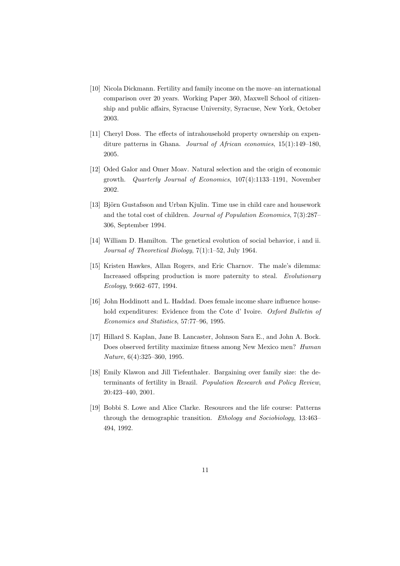- [10] Nicola Dickmann. Fertility and family income on the move–an international comparison over 20 years. Working Paper 360, Maxwell School of citizenship and public affairs, Syracuse University, Syracuse, New York, October 2003.
- [11] Cheryl Doss. The effects of intrahousehold property ownership on expenditure patterns in Ghana. *Journal of African economies*, 15(1):149–180. 2005.
- [12] Oded Galor and Omer Moav. Natural selection and the origin of economic growth. Quarterly Journal of Economics, 107(4):1133–1191, November 2002.
- [13] Björn Gustafsson and Urban Kjulin. Time use in child care and housework and the total cost of children. Journal of Population Economics, 7(3):287– 306, September 1994.
- [14] William D. Hamilton. The genetical evolution of social behavior, i and ii. Journal of Theoretical Biology, 7(1):1–52, July 1964.
- [15] Kristen Hawkes, Allan Rogers, and Eric Charnov. The male's dilemma: Increased offspring production is more paternity to steal. Evolutionary Ecology, 9:662–677, 1994.
- [16] John Hoddinott and L. Haddad. Does female income share influence household expenditures: Evidence from the Cote d' Ivoire. Oxford Bulletin of Economics and Statistics, 57:77–96, 1995.
- [17] Hillard S. Kaplan, Jane B. Lancaster, Johnson Sara E., and John A. Bock. Does observed fertility maximize fitness among New Mexico men? Human Nature, 6(4):325–360, 1995.
- [18] Emily Klawon and Jill Tiefenthaler. Bargaining over family size: the determinants of fertility in Brazil. Population Research and Policy Review, 20:423–440, 2001.
- [19] Bobbi S. Lowe and Alice Clarke. Resources and the life course: Patterns through the demographic transition. Ethology and Sociobiology, 13:463– 494, 1992.